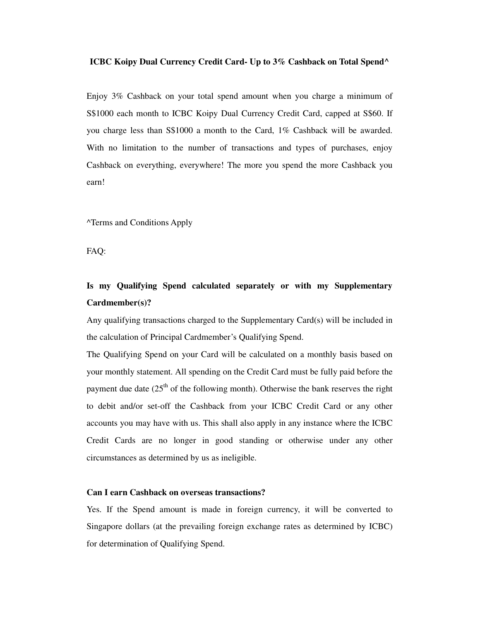#### **ICBC Koipy Dual Currency Credit Card- Up to 3% Cashback on Total Spend^**

Enjoy 3% Cashback on your total spend amount when you charge a minimum of S\$1000 each month to ICBC Koipy Dual Currency Credit Card, capped at S\$60. If you charge less than S\$1000 a month to the Card, 1% Cashback will be awarded. With no limitation to the number of transactions and types of purchases, enjoy Cashback on everything, everywhere! The more you spend the more Cashback you earn!

^Terms and Conditions Apply

FAQ:

# **Is my Qualifying Spend calculated separately or with my Supplementary Cardmember(s)?**

Any qualifying transactions charged to the Supplementary Card(s) will be included in the calculation of Principal Cardmember's Qualifying Spend.

The Qualifying Spend on your Card will be calculated on a monthly basis based on your monthly statement. All spending on the Credit Card must be fully paid before the payment due date  $(25<sup>th</sup>$  of the following month). Otherwise the bank reserves the right to debit and/or set-off the Cashback from your ICBC Credit Card or any other accounts you may have with us. This shall also apply in any instance where the ICBC Credit Cards are no longer in good standing or otherwise under any other circumstances as determined by us as ineligible.

#### **Can I earn Cashback on overseas transactions?**

Yes. If the Spend amount is made in foreign currency, it will be converted to Singapore dollars (at the prevailing foreign exchange rates as determined by ICBC) for determination of Qualifying Spend.